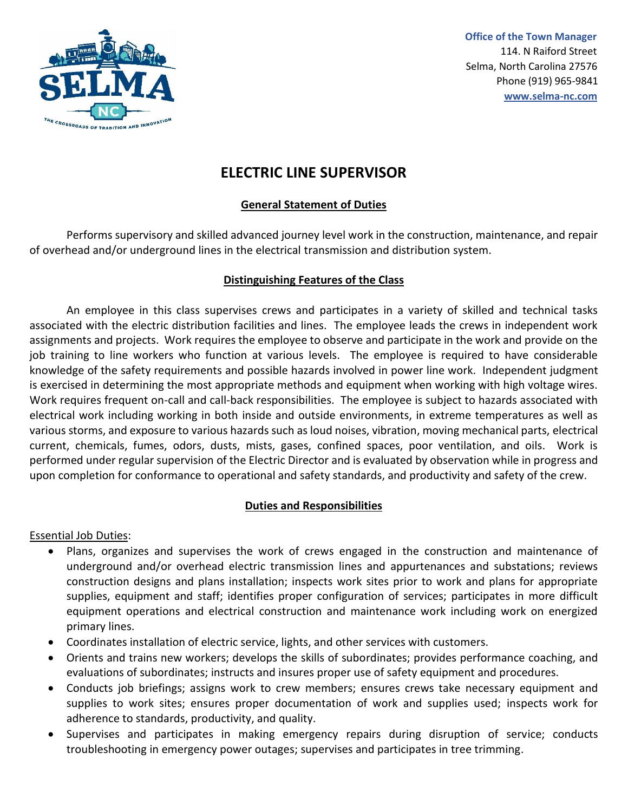

 **Office of the Town Manager**  114. N Raiford Street Selma, North Carolina 27576 Phone (919) 965-9841  **[www.selma-nc.com](http://www.selma-nc.com/)**

# **ELECTRIC LINE SUPERVISOR**

# **General Statement of Duties**

Performs supervisory and skilled advanced journey level work in the construction, maintenance, and repair of overhead and/or underground lines in the electrical transmission and distribution system.

# **Distinguishing Features of the Class**

An employee in this class supervises crews and participates in a variety of skilled and technical tasks associated with the electric distribution facilities and lines. The employee leads the crews in independent work assignments and projects. Work requires the employee to observe and participate in the work and provide on the job training to line workers who function at various levels. The employee is required to have considerable knowledge of the safety requirements and possible hazards involved in power line work. Independent judgment is exercised in determining the most appropriate methods and equipment when working with high voltage wires. Work requires frequent on-call and call-back responsibilities. The employee is subject to hazards associated with electrical work including working in both inside and outside environments, in extreme temperatures as well as various storms, and exposure to various hazards such as loud noises, vibration, moving mechanical parts, electrical current, chemicals, fumes, odors, dusts, mists, gases, confined spaces, poor ventilation, and oils. Work is performed under regular supervision of the Electric Director and is evaluated by observation while in progress and upon completion for conformance to operational and safety standards, and productivity and safety of the crew.

# **Duties and Responsibilities**

# Essential Job Duties:

- Plans, organizes and supervises the work of crews engaged in the construction and maintenance of underground and/or overhead electric transmission lines and appurtenances and substations; reviews construction designs and plans installation; inspects work sites prior to work and plans for appropriate supplies, equipment and staff; identifies proper configuration of services; participates in more difficult equipment operations and electrical construction and maintenance work including work on energized primary lines.
- Coordinates installation of electric service, lights, and other services with customers.
- Orients and trains new workers; develops the skills of subordinates; provides performance coaching, and evaluations of subordinates; instructs and insures proper use of safety equipment and procedures.
- Conducts job briefings; assigns work to crew members; ensures crews take necessary equipment and supplies to work sites; ensures proper documentation of work and supplies used; inspects work for adherence to standards, productivity, and quality.
- Supervises and participates in making emergency repairs during disruption of service; conducts troubleshooting in emergency power outages; supervises and participates in tree trimming.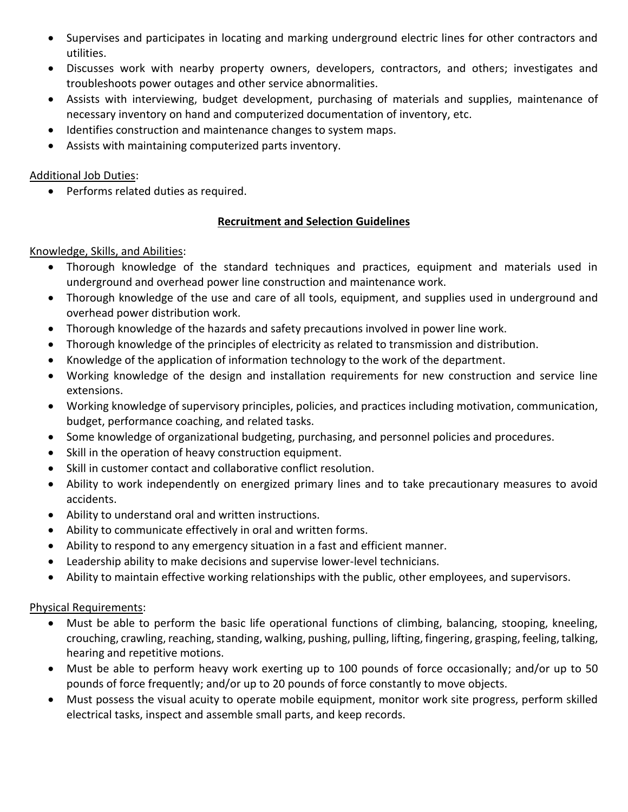- Supervises and participates in locating and marking underground electric lines for other contractors and utilities.
- Discusses work with nearby property owners, developers, contractors, and others; investigates and troubleshoots power outages and other service abnormalities.
- Assists with interviewing, budget development, purchasing of materials and supplies, maintenance of necessary inventory on hand and computerized documentation of inventory, etc.
- Identifies construction and maintenance changes to system maps.
- Assists with maintaining computerized parts inventory.

#### Additional Job Duties:

• Performs related duties as required.

# **Recruitment and Selection Guidelines**

#### Knowledge, Skills, and Abilities:

- Thorough knowledge of the standard techniques and practices, equipment and materials used in underground and overhead power line construction and maintenance work.
- Thorough knowledge of the use and care of all tools, equipment, and supplies used in underground and overhead power distribution work.
- Thorough knowledge of the hazards and safety precautions involved in power line work.
- Thorough knowledge of the principles of electricity as related to transmission and distribution.
- Knowledge of the application of information technology to the work of the department.
- Working knowledge of the design and installation requirements for new construction and service line extensions.
- Working knowledge of supervisory principles, policies, and practices including motivation, communication, budget, performance coaching, and related tasks.
- Some knowledge of organizational budgeting, purchasing, and personnel policies and procedures.
- Skill in the operation of heavy construction equipment.
- Skill in customer contact and collaborative conflict resolution.
- Ability to work independently on energized primary lines and to take precautionary measures to avoid accidents.
- Ability to understand oral and written instructions.
- Ability to communicate effectively in oral and written forms.
- Ability to respond to any emergency situation in a fast and efficient manner.
- Leadership ability to make decisions and supervise lower-level technicians.
- Ability to maintain effective working relationships with the public, other employees, and supervisors.

# Physical Requirements:

- Must be able to perform the basic life operational functions of climbing, balancing, stooping, kneeling, crouching, crawling, reaching, standing, walking, pushing, pulling, lifting, fingering, grasping, feeling, talking, hearing and repetitive motions.
- Must be able to perform heavy work exerting up to 100 pounds of force occasionally; and/or up to 50 pounds of force frequently; and/or up to 20 pounds of force constantly to move objects.
- Must possess the visual acuity to operate mobile equipment, monitor work site progress, perform skilled electrical tasks, inspect and assemble small parts, and keep records.